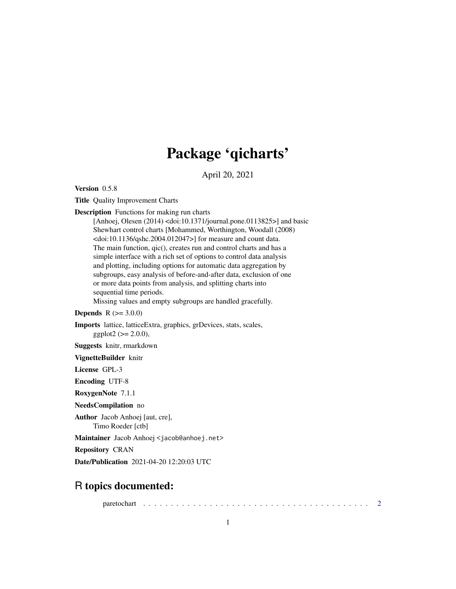# Package 'qicharts'

April 20, 2021

<span id="page-0-0"></span>Version 0.5.8

Title Quality Improvement Charts

Description Functions for making run charts

[Anhoej, Olesen (2014) <doi:10.1371/journal.pone.0113825>] and basic Shewhart control charts [Mohammed, Worthington, Woodall (2008)  $\langle \text{doi:10.1136/gshc.2004.012047>}$  for measure and count data. The main function, qic(), creates run and control charts and has a simple interface with a rich set of options to control data analysis and plotting, including options for automatic data aggregation by subgroups, easy analysis of before-and-after data, exclusion of one or more data points from analysis, and splitting charts into sequential time periods. Missing values and empty subgroups are handled gracefully.

#### **Depends** R  $(>= 3.0.0)$

Imports lattice, latticeExtra, graphics, grDevices, stats, scales,  $ggplot2 (> = 2.0.0),$ 

Suggests knitr, rmarkdown

#### VignetteBuilder knitr

License GPL-3

Encoding UTF-8

RoxygenNote 7.1.1

NeedsCompilation no

Author Jacob Anhoej [aut, cre], Timo Roeder [ctb]

Maintainer Jacob Anhoej <jacob@anhoej.net>

Repository CRAN

Date/Publication 2021-04-20 12:20:03 UTC

# R topics documented:

paretochart . . . . . . . . . . . . . . . . . . . . . . . . . . . . . . . . . . . . . . . . . [2](#page-1-0)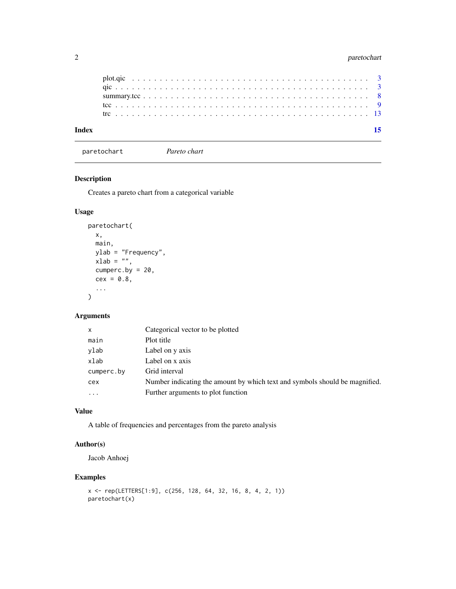# <span id="page-1-0"></span>2 paretochart

| Index |  |  |  |  |  |  |  |  |  |  |  |  |  |  |  |  |  |  |  |  |  |
|-------|--|--|--|--|--|--|--|--|--|--|--|--|--|--|--|--|--|--|--|--|--|
|       |  |  |  |  |  |  |  |  |  |  |  |  |  |  |  |  |  |  |  |  |  |
|       |  |  |  |  |  |  |  |  |  |  |  |  |  |  |  |  |  |  |  |  |  |
|       |  |  |  |  |  |  |  |  |  |  |  |  |  |  |  |  |  |  |  |  |  |
|       |  |  |  |  |  |  |  |  |  |  |  |  |  |  |  |  |  |  |  |  |  |
|       |  |  |  |  |  |  |  |  |  |  |  |  |  |  |  |  |  |  |  |  |  |

paretochart *Pareto chart*

# Description

Creates a pareto chart from a categorical variable

# Usage

```
paretochart(
  x,
  main,
  ylab = "Frequency",
  xlab = "",
  cumperc.by = 20,
  cex = 0.8,
  ...
\mathcal{L}
```
# Arguments

| Categorical vector to be plotted                                            |
|-----------------------------------------------------------------------------|
| Plot title                                                                  |
| Label on y axis                                                             |
| Label on x axis                                                             |
| Grid interval                                                               |
| Number indicating the amount by which text and symbols should be magnified. |
| Further arguments to plot function                                          |
|                                                                             |

# Value

A table of frequencies and percentages from the pareto analysis

# Author(s)

Jacob Anhoej

```
x <- rep(LETTERS[1:9], c(256, 128, 64, 32, 16, 8, 4, 2, 1))
paretochart(x)
```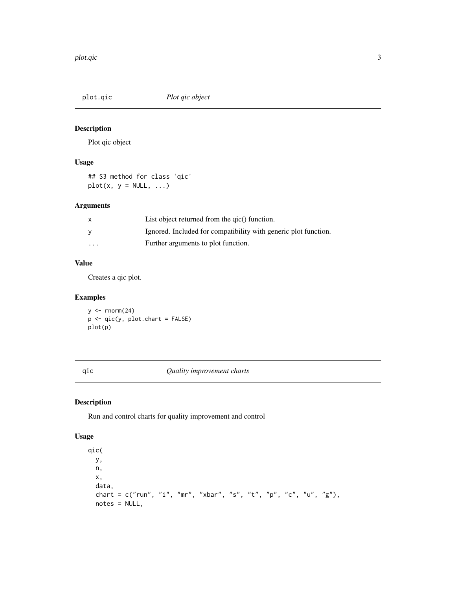<span id="page-2-0"></span>

# Description

Plot qic object

### Usage

## S3 method for class 'qic'  $plot(x, y = NULL, ...)$ 

# Arguments

|                         | List object returned from the gic() function.                   |
|-------------------------|-----------------------------------------------------------------|
|                         | Ignored. Included for compatibility with generic plot function. |
| $\cdot$ $\cdot$ $\cdot$ | Further arguments to plot function.                             |

## Value

Creates a qic plot.

# Examples

 $y \leftarrow \text{norm}(24)$ p <- qic(y, plot.chart = FALSE) plot(p)

#### <span id="page-2-1"></span>qic *Quality improvement charts*

# Description

Run and control charts for quality improvement and control

# Usage

qic( y, n, x, data, chart =  $c("run", "i", "mr", "xbar", "s", "t", "p", "c", "u", "g"),$ notes = NULL,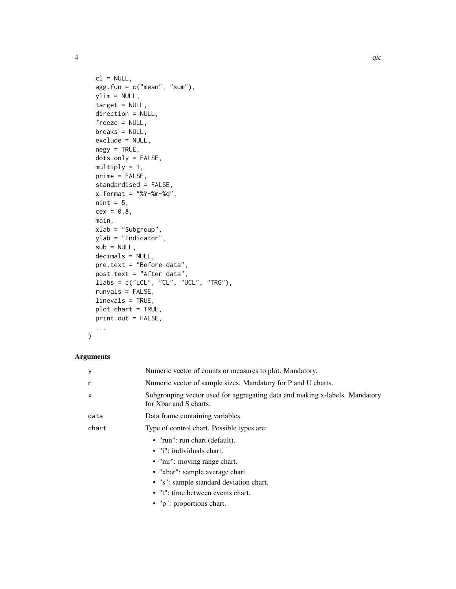```
cl = NULL,agg.fun = c("mean", "sum"),
 ylim = NULL,
 target = NULL,
 direction = NULL,
 freeze = NULL,
 breaks = NULL,
 exclude = NULL,
 negy = TRUE,dots.only = FALSE,
 multiply = 1,
 prime = FALSE,
 standardised = FALSE,
 x. format = "%Y-%m-%d",
 nint = 5,
 cex = 0.8,
 main,
 xlab = "Subgroup",
 ylab = "Indicator",
 sub = NULL,decimals = NULL,
 pre.text = "Before data",
 post.text = "After data",
 llabs = c("LCL", "CL", "UCL", "TRG"),runvals = FALSE,
 linevals = TRUE,
 plot.chart = TRUE,
 print.out = FALSE,
  ...
)
```
# Arguments

| У     | Numeric vector of counts or measures to plot. Mandatory.                                              |
|-------|-------------------------------------------------------------------------------------------------------|
| n     | Numeric vector of sample sizes. Mandatory for P and U charts.                                         |
| X     | Subgrouping vector used for aggregating data and making x-labels. Mandatory<br>for Xbar and S charts. |
| data  | Data frame containing variables.                                                                      |
| chart | Type of control chart. Possible types are:                                                            |
|       | • "run": run chart (default).                                                                         |
|       | • "i": individuals chart.                                                                             |
|       | • "mr": moving range chart.                                                                           |
|       | • "xbar": sample average chart.                                                                       |
|       | • "s": sample standard deviation chart.                                                               |
|       | • "t": time between events chart.                                                                     |
|       | • "p": proportions chart.                                                                             |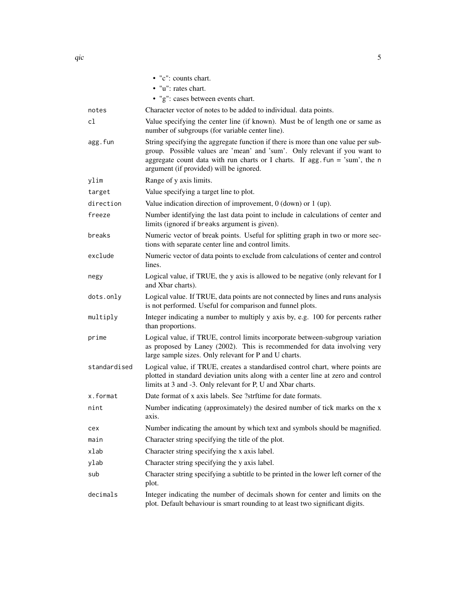|              | • "c": counts chart.                                                                                                                                                                                                                                                                                       |
|--------------|------------------------------------------------------------------------------------------------------------------------------------------------------------------------------------------------------------------------------------------------------------------------------------------------------------|
|              | • "u": rates chart.                                                                                                                                                                                                                                                                                        |
|              | • "g": cases between events chart.                                                                                                                                                                                                                                                                         |
| notes        | Character vector of notes to be added to individual. data points.                                                                                                                                                                                                                                          |
| cl           | Value specifying the center line (if known). Must be of length one or same as<br>number of subgroups (for variable center line).                                                                                                                                                                           |
| agg.fun      | String specifying the aggregate function if there is more than one value per sub-<br>group. Possible values are 'mean' and 'sum'. Only relevant if you want to<br>aggregate count data with run charts or I charts. If $\text{agg.fun} = 'sum', \text{ the } n$<br>argument (if provided) will be ignored. |
| ylim         | Range of y axis limits.                                                                                                                                                                                                                                                                                    |
| target       | Value specifying a target line to plot.                                                                                                                                                                                                                                                                    |
| direction    | Value indication direction of improvement, $0$ (down) or $1$ (up).                                                                                                                                                                                                                                         |
| freeze       | Number identifying the last data point to include in calculations of center and<br>limits (ignored if breaks argument is given).                                                                                                                                                                           |
| breaks       | Numeric vector of break points. Useful for splitting graph in two or more sec-<br>tions with separate center line and control limits.                                                                                                                                                                      |
| exclude      | Numeric vector of data points to exclude from calculations of center and control<br>lines.                                                                                                                                                                                                                 |
| negy         | Logical value, if TRUE, the y axis is allowed to be negative (only relevant for I<br>and Xbar charts).                                                                                                                                                                                                     |
| dots.only    | Logical value. If TRUE, data points are not connected by lines and runs analysis<br>is not performed. Useful for comparison and funnel plots.                                                                                                                                                              |
| multiply     | Integer indicating a number to multiply y axis by, e.g. 100 for percents rather<br>than proportions.                                                                                                                                                                                                       |
| prime        | Logical value, if TRUE, control limits incorporate between-subgroup variation<br>as proposed by Laney (2002). This is recommended for data involving very<br>large sample sizes. Only relevant for P and U charts.                                                                                         |
| standardised | Logical value, if TRUE, creates a standardised control chart, where points are<br>plotted in standard deviation units along with a center line at zero and control<br>limits at 3 and -3. Only relevant for P, U and Xbar charts.                                                                          |
| x.format     | Date format of x axis labels. See ?strftime for date formats.                                                                                                                                                                                                                                              |
| nint         | Number indicating (approximately) the desired number of tick marks on the x<br>axis.                                                                                                                                                                                                                       |
| cex          | Number indicating the amount by which text and symbols should be magnified.                                                                                                                                                                                                                                |
| main         | Character string specifying the title of the plot.                                                                                                                                                                                                                                                         |
| xlab         | Character string specifying the x axis label.                                                                                                                                                                                                                                                              |
| ylab         | Character string specifying the y axis label.                                                                                                                                                                                                                                                              |
| sub          | Character string specifying a subtitle to be printed in the lower left corner of the<br>plot.                                                                                                                                                                                                              |
| decimals     | Integer indicating the number of decimals shown for center and limits on the<br>plot. Default behaviour is smart rounding to at least two significant digits.                                                                                                                                              |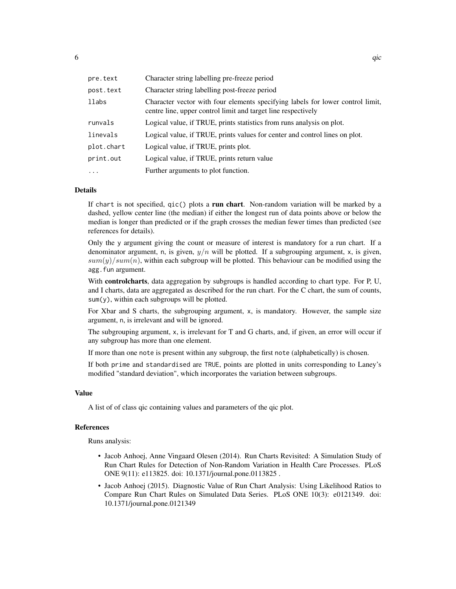| pre.text   | Character string labelling pre-freeze period                                                                                                    |
|------------|-------------------------------------------------------------------------------------------------------------------------------------------------|
| post.text  | Character string labelling post-freeze period                                                                                                   |
| llabs      | Character vector with four elements specifying labels for lower control limit,<br>centre line, upper control limit and target line respectively |
| runvals    | Logical value, if TRUE, prints statistics from runs analysis on plot.                                                                           |
| linevals   | Logical value, if TRUE, prints values for center and control lines on plot.                                                                     |
| plot.chart | Logical value, if TRUE, prints plot.                                                                                                            |
| print.out  | Logical value, if TRUE, prints return value                                                                                                     |
| $\cdots$   | Further arguments to plot function.                                                                                                             |

#### Details

If chart is not specified,  $qic()$  plots a run chart. Non-random variation will be marked by a dashed, yellow center line (the median) if either the longest run of data points above or below the median is longer than predicted or if the graph crosses the median fewer times than predicted (see references for details).

Only the y argument giving the count or measure of interest is mandatory for a run chart. If a denominator argument, n, is given,  $y/n$  will be plotted. If a subgrouping argument, x, is given,  $sum(y)/sum(n)$ , within each subgroup will be plotted. This behaviour can be modified using the agg. fun argument.

With controlcharts, data aggregation by subgroups is handled according to chart type. For P, U, and I charts, data are aggregated as described for the run chart. For the C chart, the sum of counts,  $sum(y)$ , within each subgroups will be plotted.

For Xbar and S charts, the subgrouping argument, x, is mandatory. However, the sample size argument, n, is irrelevant and will be ignored.

The subgrouping argument, x, is irrelevant for T and G charts, and, if given, an error will occur if any subgroup has more than one element.

If more than one note is present within any subgroup, the first note (alphabetically) is chosen.

If both prime and standardised are TRUE, points are plotted in units corresponding to Laney's modified "standard deviation", which incorporates the variation between subgroups.

### Value

A list of of class qic containing values and parameters of the qic plot.

#### References

Runs analysis:

- Jacob Anhoej, Anne Vingaard Olesen (2014). Run Charts Revisited: A Simulation Study of Run Chart Rules for Detection of Non-Random Variation in Health Care Processes. PLoS ONE 9(11): e113825. doi: 10.1371/journal.pone.0113825 .
- Jacob Anhoej (2015). Diagnostic Value of Run Chart Analysis: Using Likelihood Ratios to Compare Run Chart Rules on Simulated Data Series. PLoS ONE 10(3): e0121349. doi: 10.1371/journal.pone.0121349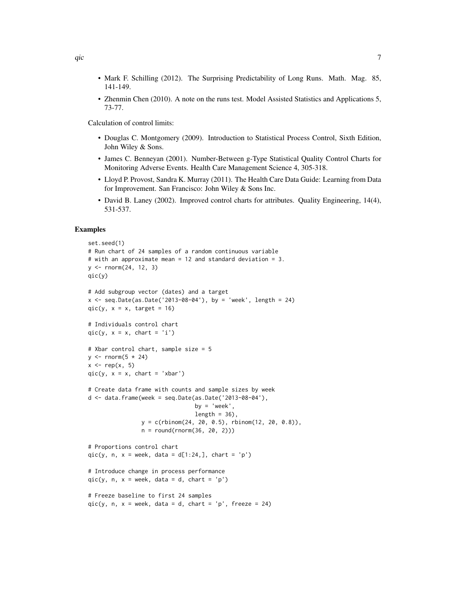- Mark F. Schilling (2012). The Surprising Predictability of Long Runs. Math. Mag. 85, 141-149.
- Zhenmin Chen (2010). A note on the runs test. Model Assisted Statistics and Applications 5, 73-77.

Calculation of control limits:

- Douglas C. Montgomery (2009). Introduction to Statistical Process Control, Sixth Edition, John Wiley & Sons.
- James C. Benneyan (2001). Number-Between g-Type Statistical Quality Control Charts for Monitoring Adverse Events. Health Care Management Science 4, 305-318.
- Lloyd P. Provost, Sandra K. Murray (2011). The Health Care Data Guide: Learning from Data for Improvement. San Francisco: John Wiley & Sons Inc.
- David B. Laney (2002). Improved control charts for attributes. Quality Engineering, 14(4), 531-537.

```
set.seed(1)
# Run chart of 24 samples of a random continuous variable
# with an approximate mean = 12 and standard deviation = 3.
y <- rnorm(24, 12, 3)
qic(y)
# Add subgroup vector (dates) and a target
x \le - seq.Date(as.Date('2013-08-04'), by = 'week', length = 24)
qic(y, x = x, target = 16)
# Individuals control chart
qic(y, x = x, chart = 'i')
# Xbar control chart, sample size = 5
y \le - rnorm(5 \times 24)x \leq -\text{rep}(x, 5)qic(y, x = x, chart = 'xbar')# Create data frame with counts and sample sizes by week
d \le - data.frame(week = seq.Date(as.Date('2013-08-04'),
                                  by = \prime week\prime,
                                  length = 36,
                 y = c(\text{rbinom}(24, 20, 0.5), \text{rbinom}(12, 20, 0.8)),n = round(rnorm(36, 20, 2)))
# Proportions control chart
qic(y, n, x = week, data = d[1:24,], chart = 'p')
# Introduce change in process performance
qic(y, n, x = week, data = d, chart = 'p')# Freeze baseline to first 24 samples
qic(y, n, x = week, data = d, chart = 'p', freeze = 24)
```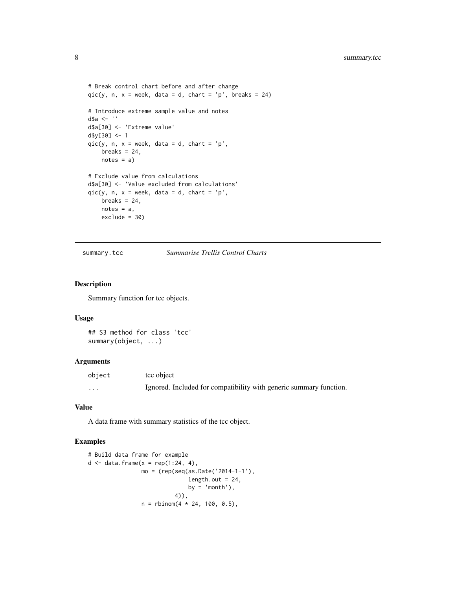```
# Break control chart before and after change
qic(y, n, x = week, data = d, chart = 'p', breaks = 24)
# Introduce extreme sample value and notes
d$a <- ''
d$a[30] <- 'Extreme value'
d$y[30] <- 1
qic(y, n, x = week, data = d, chart = 'p',breaks = 24,
   notes = a)
# Exclude value from calculations
d$a[30] <- 'Value excluded from calculations'
qic(y, n, x = week, data = d, chart = 'p',breaks = 24,
   notes = a,
   exclude = 30)
```
summary.tcc *Summarise Trellis Control Charts*

#### Description

Summary function for tcc objects.

#### Usage

## S3 method for class 'tcc' summary(object, ...)

#### Arguments

| object | tcc object                                                         |
|--------|--------------------------------------------------------------------|
| .      | Ignored. Included for compatibility with generic summary function. |

#### Value

A data frame with summary statistics of the tcc object.

```
# Build data frame for example
d \leq data.frame(x = rep(1:24, 4),mo = (rep(seq(as.Date('2014-1-1'),
                              length.out = 24,
                              by = 'month'),
                          4)),
                n = rbinom(4 * 24, 100, 0.5),
```
<span id="page-7-0"></span>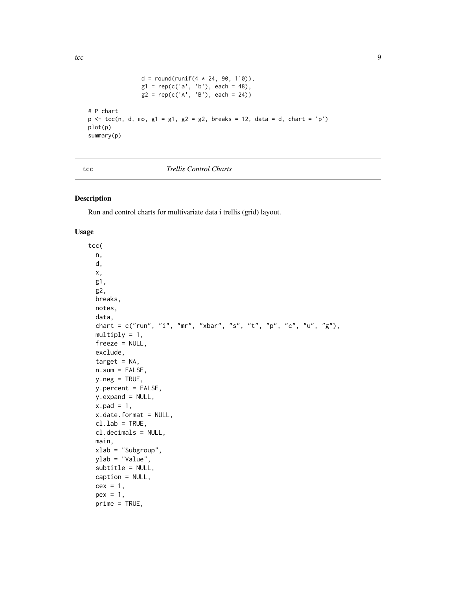```
d = round(runif(4 * 24, 90, 110)),g1 = rep(c('a', 'b'), each = 48),g2 = rep(c('A', 'B'), each = 24))# P chart
p \leftarrow \text{tcc}(n, d, mo, g1 = g1, g2 = g2, breaks = 12, data = d, chart = 'p')plot(p)
summary(p)
```
#### tcc *Trellis Control Charts*

#### Description

Run and control charts for multivariate data i trellis (grid) layout.

#### Usage

```
tcc(
  n,
  d,
  x,
  g1,
  g2,
 breaks,
 notes,
  data,
  chart = c("run", "i", "mr", "xbar", "s", "t", "p", "c", "u", "g"),multiply = 1,
  freeze = NULL,
  exclude,
  target = NA,n.sum = FALSE,y.neg = TRUE,y.percent = FALSE,
 y.expand = NULL,
  x.pad = 1,
  x.date.format = NULL,
  cl.\,lab = TRUE,cl.decimals = NULL,
 main,
 xlab = "Subgroup",
 ylab = "Value",
  subtitle = NULL,
  caption = NULL,
  cex = 1,
  pex = 1,
  prime = TRUE,
```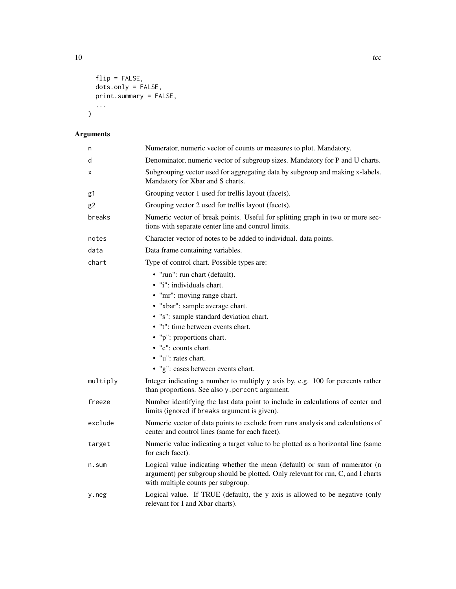```
flip = FALSE,
dots.only = FALSE,
print.summary = FALSE,
```
... )

# Arguments

| n        | Numerator, numeric vector of counts or measures to plot. Mandatory.                                                                                                                                  |
|----------|------------------------------------------------------------------------------------------------------------------------------------------------------------------------------------------------------|
| d        | Denominator, numeric vector of subgroup sizes. Mandatory for P and U charts.                                                                                                                         |
| x        | Subgrouping vector used for aggregating data by subgroup and making x-labels.<br>Mandatory for Xbar and S charts.                                                                                    |
| g1       | Grouping vector 1 used for trellis layout (facets).                                                                                                                                                  |
| g2       | Grouping vector 2 used for trellis layout (facets).                                                                                                                                                  |
| breaks   | Numeric vector of break points. Useful for splitting graph in two or more sec-<br>tions with separate center line and control limits.                                                                |
| notes    | Character vector of notes to be added to individual. data points.                                                                                                                                    |
| data     | Data frame containing variables.                                                                                                                                                                     |
| chart    | Type of control chart. Possible types are:                                                                                                                                                           |
|          | • "run": run chart (default).                                                                                                                                                                        |
|          | • "i": individuals chart.                                                                                                                                                                            |
|          | • "mr": moving range chart.                                                                                                                                                                          |
|          | • "xbar": sample average chart.                                                                                                                                                                      |
|          | • "s": sample standard deviation chart.                                                                                                                                                              |
|          | • "t": time between events chart.                                                                                                                                                                    |
|          | • "p": proportions chart.                                                                                                                                                                            |
|          | • "c": counts chart.                                                                                                                                                                                 |
|          | • "u": rates chart.                                                                                                                                                                                  |
|          | • "g": cases between events chart.                                                                                                                                                                   |
| multiply | Integer indicating a number to multiply y axis by, e.g. 100 for percents rather<br>than proportions. See also y . percent argument.                                                                  |
| freeze   | Number identifying the last data point to include in calculations of center and<br>limits (ignored if breaks argument is given).                                                                     |
| exclude  | Numeric vector of data points to exclude from runs analysis and calculations of<br>center and control lines (same for each facet).                                                                   |
| target   | Numeric value indicating a target value to be plotted as a horizontal line (same<br>for each facet).                                                                                                 |
| $n.s$ um | Logical value indicating whether the mean (default) or sum of numerator (n<br>argument) per subgroup should be plotted. Only relevant for run, C, and I charts<br>with multiple counts per subgroup. |
| y.neg    | Logical value. If TRUE (default), the y axis is allowed to be negative (only<br>relevant for I and Xbar charts).                                                                                     |

10 to the contract of the contract of the contract of the contract of the contract of the contract of the contract of the contract of the contract of the contract of the contract of the contract of the contract of the cont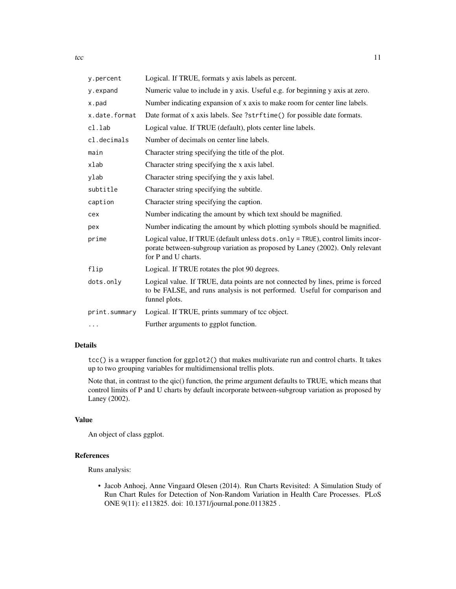| y.percent     | Logical. If TRUE, formats y axis labels as percent.                                                                                                                                    |
|---------------|----------------------------------------------------------------------------------------------------------------------------------------------------------------------------------------|
| y.expand      | Numeric value to include in y axis. Useful e.g. for beginning y axis at zero.                                                                                                          |
| x.pad         | Number indicating expansion of x axis to make room for center line labels.                                                                                                             |
| x.date.format | Date format of x axis labels. See ?strftime() for possible date formats.                                                                                                               |
| cl.lab        | Logical value. If TRUE (default), plots center line labels.                                                                                                                            |
| cl.decimals   | Number of decimals on center line labels.                                                                                                                                              |
| main          | Character string specifying the title of the plot.                                                                                                                                     |
| xlab          | Character string specifying the x axis label.                                                                                                                                          |
| ylab          | Character string specifying the y axis label.                                                                                                                                          |
| subtitle      | Character string specifying the subtitle.                                                                                                                                              |
| caption       | Character string specifying the caption.                                                                                                                                               |
| cex           | Number indicating the amount by which text should be magnified.                                                                                                                        |
| pex           | Number indicating the amount by which plotting symbols should be magnified.                                                                                                            |
| prime         | Logical value, If TRUE (default unless dots.only = TRUE), control limits incor-<br>porate between-subgroup variation as proposed by Laney (2002). Only relevant<br>for P and U charts. |
| flip          | Logical. If TRUE rotates the plot 90 degrees.                                                                                                                                          |
| dots.only     | Logical value. If TRUE, data points are not connected by lines, prime is forced<br>to be FALSE, and runs analysis is not performed. Useful for comparison and<br>funnel plots.         |
| print.summary | Logical. If TRUE, prints summary of tcc object.                                                                                                                                        |
| $\cdots$      | Further arguments to ggplot function.                                                                                                                                                  |

### Details

tcc() is a wrapper function for ggplot2() that makes multivariate run and control charts. It takes up to two grouping variables for multidimensional trellis plots.

Note that, in contrast to the qic() function, the prime argument defaults to TRUE, which means that control limits of P and U charts by default incorporate between-subgroup variation as proposed by Laney (2002).

#### Value

An object of class ggplot.

# References

Runs analysis:

• Jacob Anhoej, Anne Vingaard Olesen (2014). Run Charts Revisited: A Simulation Study of Run Chart Rules for Detection of Non-Random Variation in Health Care Processes. PLoS ONE 9(11): e113825. doi: 10.1371/journal.pone.0113825 .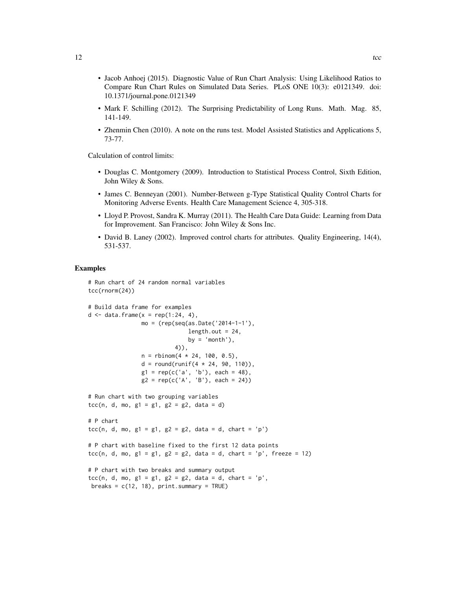- Jacob Anhoej (2015). Diagnostic Value of Run Chart Analysis: Using Likelihood Ratios to Compare Run Chart Rules on Simulated Data Series. PLoS ONE 10(3): e0121349. doi: 10.1371/journal.pone.0121349
- Mark F. Schilling (2012). The Surprising Predictability of Long Runs. Math. Mag. 85, 141-149.
- Zhenmin Chen (2010). A note on the runs test. Model Assisted Statistics and Applications 5, 73-77.

Calculation of control limits:

- Douglas C. Montgomery (2009). Introduction to Statistical Process Control, Sixth Edition, John Wiley & Sons.
- James C. Benneyan (2001). Number-Between g-Type Statistical Quality Control Charts for Monitoring Adverse Events. Health Care Management Science 4, 305-318.
- Lloyd P. Provost, Sandra K. Murray (2011). The Health Care Data Guide: Learning from Data for Improvement. San Francisco: John Wiley & Sons Inc.
- David B. Laney (2002). Improved control charts for attributes. Quality Engineering, 14(4), 531-537.

```
# Run chart of 24 random normal variables
tcc(rnorm(24))
# Build data frame for examples
d \leq data.frame(x = rep(1:24, 4),
               mo = (rep(seq(as.Date('2014-1-1'),
                              length.out = 24,
                              by = 'month'),
                          4)),
                n = rbinom(4 * 24, 100, 0.5),
                d = round(runif(4 * 24, 90, 110)),g1 = rep(c('a', 'b'), each = 48),g2 = rep(c('A', 'B')), each = 24))
# Run chart with two grouping variables
tcc(n, d, mo, g1 = g1, g2 = g2, data = d)# P chart
tcc(n, d, mo, g1 = g1, g2 = g2, data = d, chart = 'p')
# P chart with baseline fixed to the first 12 data points
tcc(n, d, mo, g1 = g1, g2 = g2, data = d, chart = 'p', freeze = 12)# P chart with two breaks and summary output
tcc(n, d, mo, g1 = g1, g2 = g2, data = d, chart = 'p',
breaks = c(12, 18), print.summary = TRUE)
```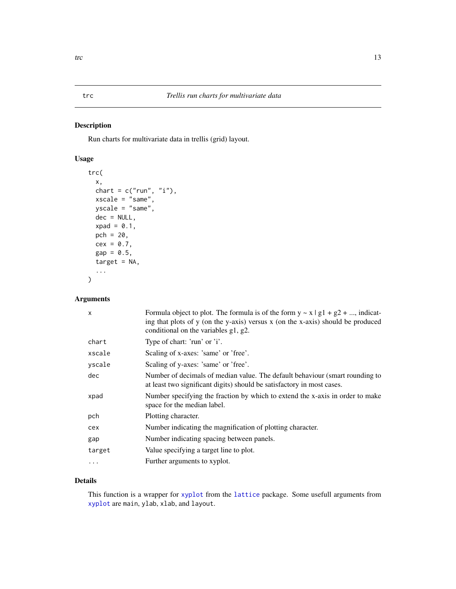# Description

Run charts for multivariate data in trellis (grid) layout.

# Usage

```
trc(
  x,
 chart = c("run", "i"),
 xscale = "same",
 yscale = "same",
 dec = NULL,
 xpad = 0.1,
 pch = 20,
  cex = 0.7,
  gap = 0.5,target = NA,
  ...
)
```
# Arguments

| $\mathsf{x}$ | Formula object to plot. The formula is of the form $y \sim x \mid g_1 + g_2 + $ , indicat-<br>ing that plots of y (on the y-axis) versus x (on the x-axis) should be produced<br>conditional on the variables g1, g2. |
|--------------|-----------------------------------------------------------------------------------------------------------------------------------------------------------------------------------------------------------------------|
| chart        | Type of chart: 'run' or 'i'.                                                                                                                                                                                          |
| xscale       | Scaling of x-axes: 'same' or 'free'.                                                                                                                                                                                  |
| yscale       | Scaling of y-axes: 'same' or 'free'.                                                                                                                                                                                  |
| dec          | Number of decimals of median value. The default behaviour (smart rounding to<br>at least two significant digits) should be satisfactory in most cases.                                                                |
| xpad         | Number specifying the fraction by which to extend the x-axis in order to make<br>space for the median label.                                                                                                          |
| pch          | Plotting character.                                                                                                                                                                                                   |
| cex          | Number indicating the magnification of plotting character.                                                                                                                                                            |
| gap          | Number indicating spacing between panels.                                                                                                                                                                             |
| target       | Value specifying a target line to plot.                                                                                                                                                                               |
| $\cdots$     | Further arguments to xyplot.                                                                                                                                                                                          |

# Details

This function is a wrapper for [xyplot](#page-0-0) from the [lattice](#page-0-0) package. Some usefull arguments from [xyplot](#page-0-0) are main, ylab, xlab, and layout.

<span id="page-12-0"></span>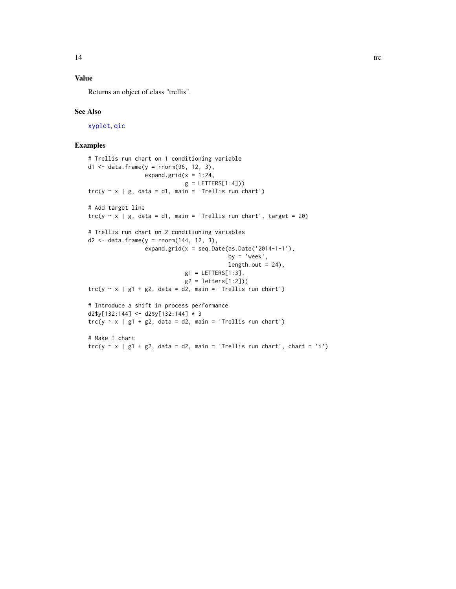# <span id="page-13-0"></span>Value

Returns an object of class "trellis".

#### See Also

[xyplot](#page-0-0), [qic](#page-2-1)

```
# Trellis run chart on 1 conditioning variable
d1 <- data.frame(y = rnorm(96, 12, 3),
                    expand.grid(x = 1:24,
                                  g = LETTERS[1:4]))
\text{trc}(y \sim x \mid g, \text{ data = d1, main = 'Trellis run chart') }# Add target line
\text{trc}(y \sim x \mid g, \text{ data = d1, main = 'Trellis run chart', target = 20)}# Trellis run chart on 2 conditioning variables
d2 <- data.frame(y = rnorm(144, 12, 3),
                    expand.grid(x = seq.Date(as.Date('2014-1-1'),by = \text{'week'},
                                                 length.out = 24),
                                  g1 = LETTERS[1:3],
                                  g2 = letters[1:2]))
\text{trc}(y \sim x \mid g1 + g2, \text{ data} = d2, \text{ main} = \text{'Trellis run chart'})# Introduce a shift in process performance
d2$y[132:144] <- d2$y[132:144] * 3
\text{trc}(y \sim x \mid g1 + g2, \text{ data} = d2, \text{ main} = \text{'Trellis run chart'})# Make I chart
\text{trc}(y \sim x \mid g1 + g2, \text{ data = d2, main = 'Trellis run chart', chart = 'i') }
```